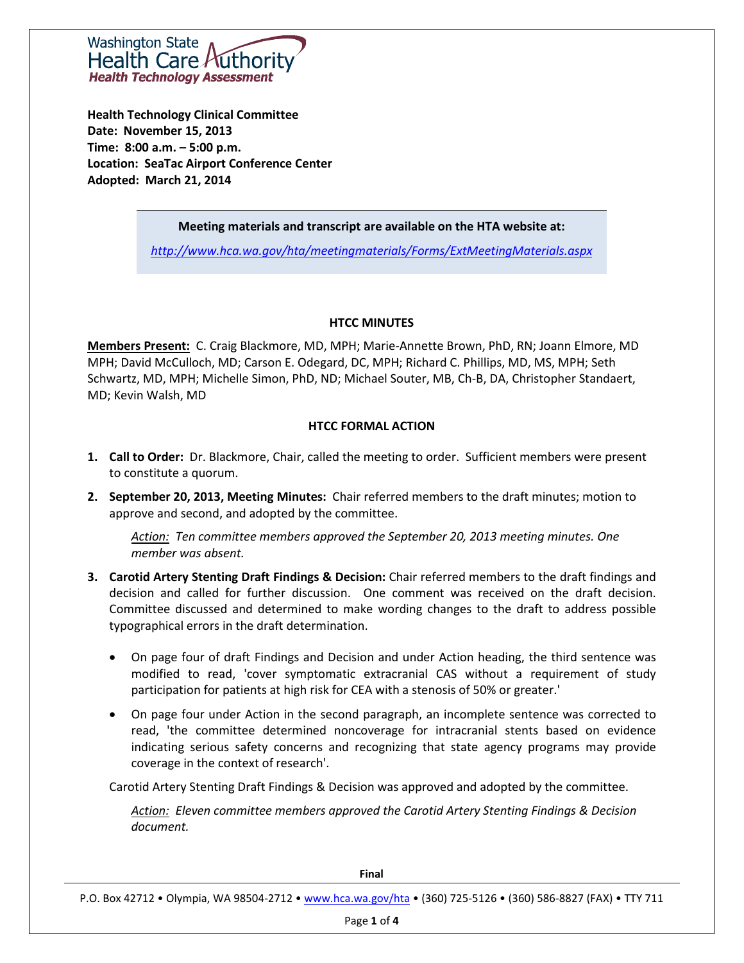Washington State Health Care A **Health Technology Assessment** 

**Health Technology Clinical Committee Date: November 15, 2013 Time: 8:00 a.m. – 5:00 p.m. Location: SeaTac Airport Conference Center Adopted: March 21, 2014**

## **Meeting materials and transcript are available on the HTA website at:**

*<http://www.hca.wa.gov/hta/meetingmaterials/Forms/ExtMeetingMaterials.aspx>*

#### **HTCC MINUTES**

**Members Present:** C. Craig Blackmore, MD, MPH; Marie-Annette Brown, PhD, RN; Joann Elmore, MD MPH; David McCulloch, MD; Carson E. Odegard, DC, MPH; Richard C. Phillips, MD, MS, MPH; Seth Schwartz, MD, MPH; Michelle Simon, PhD, ND; Michael Souter, MB, Ch-B, DA, Christopher Standaert, MD; Kevin Walsh, MD

#### **HTCC FORMAL ACTION**

- **1. Call to Order:** Dr. Blackmore, Chair, called the meeting to order. Sufficient members were present to constitute a quorum.
- **2. September 20, 2013, Meeting Minutes:** Chair referred members to the draft minutes; motion to approve and second, and adopted by the committee.

*Action: Ten committee members approved the September 20, 2013 meeting minutes. One member was absent.*

- **3. Carotid Artery Stenting Draft Findings & Decision:** Chair referred members to the draft findings and decision and called for further discussion. One comment was received on the draft decision. Committee discussed and determined to make wording changes to the draft to address possible typographical errors in the draft determination.
	- On page four of draft Findings and Decision and under Action heading, the third sentence was modified to read, 'cover symptomatic extracranial CAS without a requirement of study participation for patients at high risk for CEA with a stenosis of 50% or greater.'
	- On page four under Action in the second paragraph, an incomplete sentence was corrected to read, 'the committee determined noncoverage for intracranial stents based on evidence indicating serious safety concerns and recognizing that state agency programs may provide coverage in the context of research'.

Carotid Artery Stenting Draft Findings & Decision was approved and adopted by the committee.

*Action: Eleven committee members approved the Carotid Artery Stenting Findings & Decision document.* 

| Final                                                                                                          |
|----------------------------------------------------------------------------------------------------------------|
| P.O. Box 42712 . Olympia, WA 98504-2712 . www.hca.wa.gov/hta . (360) 725-5126 . (360) 586-8827 (FAX) . TTY 711 |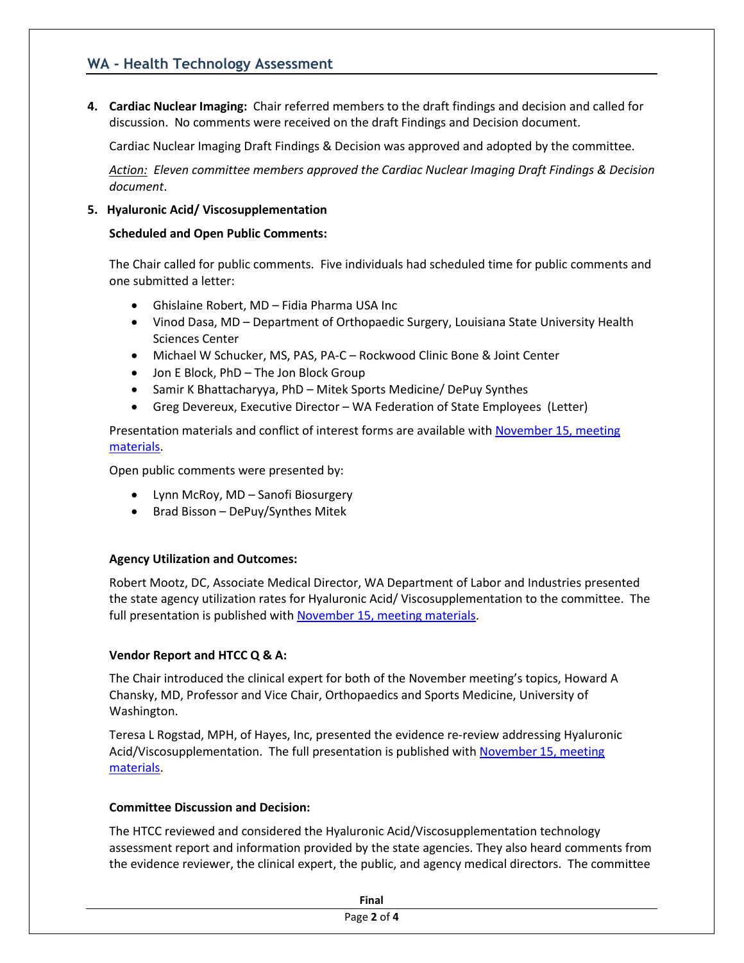## **WA - Health Technology Assessment**

**4. Cardiac Nuclear Imaging:** Chair referred members to the draft findings and decision and called for discussion. No comments were received on the draft Findings and Decision document.

Cardiac Nuclear Imaging Draft Findings & Decision was approved and adopted by the committee.

*Action: Eleven committee members approved the Cardiac Nuclear Imaging Draft Findings & Decision document*.

## **5. Hyaluronic Acid/ Viscosupplementation**

## **Scheduled and Open Public Comments:**

The Chair called for public comments. Five individuals had scheduled time for public comments and one submitted a letter:

- Ghislaine Robert, MD Fidia Pharma USA Inc
- Vinod Dasa, MD Department of Orthopaedic Surgery, Louisiana State University Health Sciences Center
- Michael W Schucker, MS, PAS, PA-C Rockwood Clinic Bone & Joint Center
- Jon E Block, PhD The Jon Block Group
- Samir K Bhattacharyya, PhD Mitek Sports Medicine/ DePuy Synthes
- Greg Devereux, Executive Director WA Federation of State Employees (Letter)

Presentation materials and conflict of interest forms are available with November 15, meeting [materials.](http://www.hca.wa.gov/hta/meetingmaterials/Forms/ExtMeetingMaterials.aspx)

Open public comments were presented by:

- Lynn McRoy, MD Sanofi Biosurgery
- Brad Bisson DePuy/Synthes Mitek

## **Agency Utilization and Outcomes:**

Robert Mootz, DC, Associate Medical Director, WA Department of Labor and Industries presented the state agency utilization rates for Hyaluronic Acid/ Viscosupplementation to the committee. The full presentation is published wit[h November 15, meeting materials.](http://www.hca.wa.gov/hta/meetingmaterials/Forms/ExtMeetingMaterials.aspx)

## **Vendor Report and HTCC Q & A:**

The Chair introduced the clinical expert for both of the November meeting's topics, Howard A Chansky, MD, Professor and Vice Chair, Orthopaedics and Sports Medicine, University of Washington.

Teresa L Rogstad, MPH, of Hayes, Inc, presented the evidence re-review addressing Hyaluronic Acid/Viscosupplementation. The full presentation is published with [November 15, meeting](http://www.hca.wa.gov/hta/meetingmaterials/Forms/ExtMeetingMaterials.aspx)  [materials.](http://www.hca.wa.gov/hta/meetingmaterials/Forms/ExtMeetingMaterials.aspx)

## **Committee Discussion and Decision:**

The HTCC reviewed and considered the Hyaluronic Acid/Viscosupplementation technology assessment report and information provided by the state agencies. They also heard comments from the evidence reviewer, the clinical expert, the public, and agency medical directors. The committee

| Final       |  |
|-------------|--|
| Page 2 of 4 |  |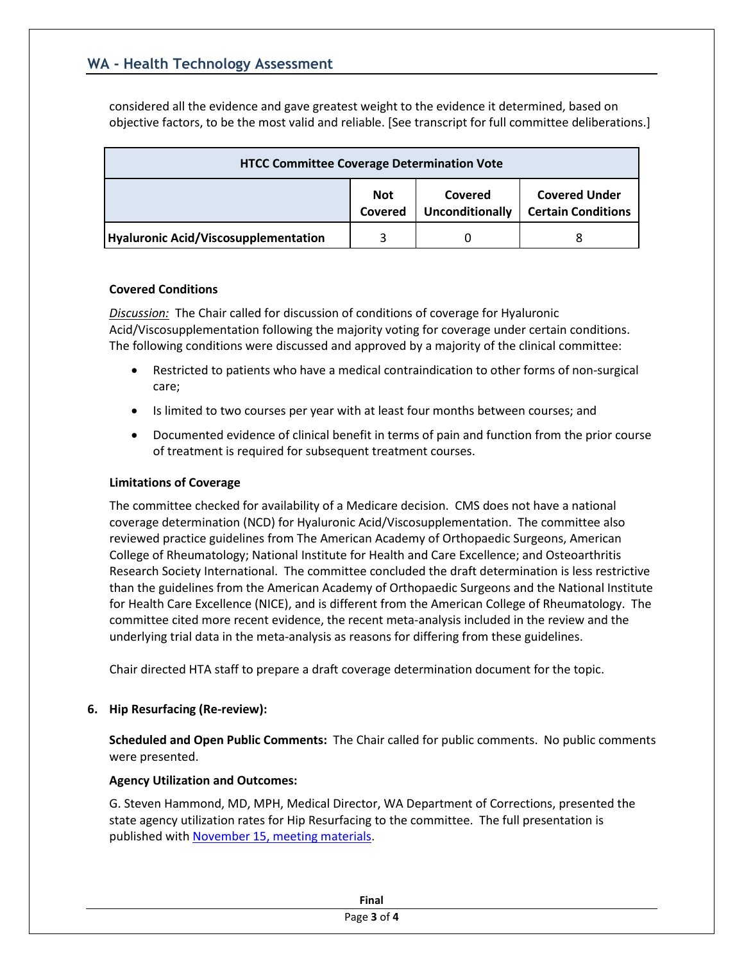# **WA - Health Technology Assessment**

considered all the evidence and gave greatest weight to the evidence it determined, based on objective factors, to be the most valid and reliable. [See transcript for full committee deliberations.]

| <b>HTCC Committee Coverage Determination Vote</b> |                       |                                   |                                                   |  |  |
|---------------------------------------------------|-----------------------|-----------------------------------|---------------------------------------------------|--|--|
|                                                   | <b>Not</b><br>Covered | Covered<br><b>Unconditionally</b> | <b>Covered Under</b><br><b>Certain Conditions</b> |  |  |
| <b>Hyaluronic Acid/Viscosupplementation</b>       |                       |                                   |                                                   |  |  |

#### **Covered Conditions**

*Discussion:* The Chair called for discussion of conditions of coverage for Hyaluronic Acid/Viscosupplementation following the majority voting for coverage under certain conditions. The following conditions were discussed and approved by a majority of the clinical committee:

- Restricted to patients who have a medical contraindication to other forms of non-surgical care;
- Is limited to two courses per year with at least four months between courses; and
- Documented evidence of clinical benefit in terms of pain and function from the prior course of treatment is required for subsequent treatment courses.

### **Limitations of Coverage**

The committee checked for availability of a Medicare decision. CMS does not have a national coverage determination (NCD) for Hyaluronic Acid/Viscosupplementation. The committee also reviewed practice guidelines from The American Academy of Orthopaedic Surgeons, American College of Rheumatology; National Institute for Health and Care Excellence; and Osteoarthritis Research Society International. The committee concluded the draft determination is less restrictive than the guidelines from the American Academy of Orthopaedic Surgeons and the National Institute for Health Care Excellence (NICE), and is different from the American College of Rheumatology. The committee cited more recent evidence, the recent meta-analysis included in the review and the underlying trial data in the meta-analysis as reasons for differing from these guidelines.

Chair directed HTA staff to prepare a draft coverage determination document for the topic.

## **6. Hip Resurfacing (Re-review):**

**Scheduled and Open Public Comments:** The Chair called for public comments. No public comments were presented.

## **Agency Utilization and Outcomes:**

G. Steven Hammond, MD, MPH, Medical Director, WA Department of Corrections, presented the state agency utilization rates for Hip Resurfacing to the committee. The full presentation is published wit[h November 15, meeting materials.](http://www.hca.wa.gov/hta/meetingmaterials/Forms/ExtMeetingMaterials.aspx)

| Final       |
|-------------|
| Page 3 of 4 |